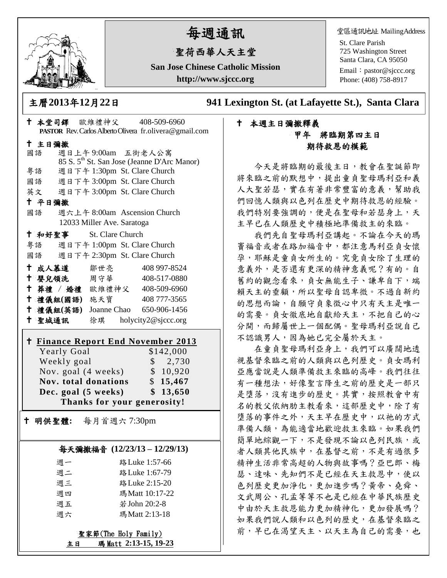

# 每週通訊

# 聖荷西華人天主堂

**San Jose Chinese Catholic Mission http://www.sjccc.org**

堂區通訊地址 MailingAddress

St. Clare Parish 725 Washington Street Santa Clara, CA 95050

Email: [pastor@sjccc.org](mailto:pastor@sjccc.org) Phone: (408) 758-8917

主曆**2013**年**12**月**22**日 **941 Lexington St. (at Lafayette St.), Santa Clara** 

## 本堂司鐸 歐維禮神父 408-509-6960 **PASTOR** Rev. Carlos Alberto Olivera fr.olivera@gmail.com 主日彌撒 國語 週日上午 9:00am 五街老人公寓 85 S. 5th St. San Jose (Jeanne D'Arc Manor) 粵語 週日下午 1:30pm St. Clare Church 國語 週日下午 3:00pm St. Clare Church 英文 週日下午 3:00pm St. Clare Church 平日彌撒 國語 週六上午 8:00am Ascension Church 12033 Miller Ave. Saratoga 和好聖事 St. Clare Church 粵語 週日下午 1:00pm St. Clare Church 國語 週日下午 2:30pm St. Clare Church 十成人慕道 鄒世亮 408 997-8524 十 嬰兒領洗 周守華 408-517-0880 葬禮 / 婚禮 歐維禮神父 408-509-6960 禮儀組**(**國語**)** 施天寶 408 777-3565 禮儀組**(**英語**)** Joanne Chao 650-906-1456 聖城通訊 徐琪 holycity2@sjccc.org **Finance [Report End November](http://sjccc.org/index.php/finance.html?src=bulletin112512) 2013** Yearly Goal \$142,000 Weekly goal  $\qquad$  \$ 2,730 Nov. goal (4 weeks) \$ 10,920 **Nov. total donations** \$ **15,467 Dec. goal (5 weeks) \$ 13,650 Thanks for your generosity!** 明供聖體**:** 每月首週六 7:30pm 每天彌撒福音 **(12/23/13 – 12/29/13)**

| 调一 | 路 Luke 1:57-66 |
|----|----------------|
| 週二 | 路 Luke 1:67-79 |
| 週三 | 路 Luke 2:15-20 |
| 週四 | 瑪Matt 10:17-22 |
| 週五 | 若 John 20:2-8  |
| 调六 | 瑪 Matt 2:13-18 |
|    |                |

聖家節(The Holy Family) 主日 瑪 Matt **2:13-15, 19-23**

### 本週主日彌撒釋義 甲年 將臨期第四主日 期待救恩的模範

今天是將臨期的最後主日,教會在聖誕節即 將來臨之前的默想中,提出童貞聖母瑪利亞和義 人大聖若瑟,實在有著非常豐富的意義,幫助我 們回憶人類與以色列在歷史中期待救恩的經驗。 我們特別要強調的,便是在聖母和若瑟身上,天 主早已在人類歷史中積極地準備救主的來臨。

我們先自聖母瑪利亞講起。不論在今天的瑪 竇福音或者在路加福音中,都注意馬利亞貞女懷 孕,耶穌是童貞女所生的。究竟貞女除了生理的 意義外,是否還有更深的精神意義呢?有的。自 舊約的觀念看來,貞女無能生子、謙卑自下,端 賴天主的垂顧,所以聖母自認卑微。不過自新約 的思想而論,自願守貞象徵心中只有天主是唯一 的需要。貞女徹底地自獻給天主,不把自己的心 分開,而歸屬世上一個配偶。聖母瑪利亞說自己 不認識男人,因為她已完全屬於天主。

在童貞聖母瑪利亞身上,我們可以廣闊地透 視基督來臨之前的人類與以色列歷史。貞女瑪利 亞應當說是人類準備救主來臨的高峰。我們往往 有一種想法,好像聖言降生之前的歷史是一部只 是墮落,沒有進步的歷史。其實,按照教會中有 名的教父依納肋主教看來,這部歷史中,除了有 道落的事件之外,天主早在歷史中,以祂的方式 準備人類,為能適當地歡迎救主來臨。如果我們 簡單地綜觀一下,不是發現不論以色列民族,或 者人類其他民族中,在基督之前,不是有過很多 精神生活非常高超的人物與故事嗎?亞巴郎、梅 瑟、達味、先知們不是已經在天主救恩中,使以 色列歷史更加淨化,更加進步嗎?黃帝、堯舜、 文武周公、孔孟等等不也是已經在中華民族歷史 中由於天主救恩能力更加精神化,更加發展嗎? 如果我們說人類和以色列的歷史,在基督來臨之 前,早已在渴望天主、以天主為自己的需要,也